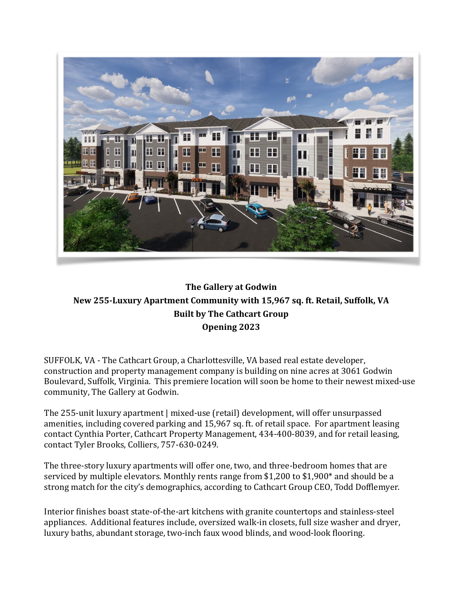

## **The Gallery at Godwin New 255-Luxury Apartment Community with 15,967 sq. ft. Retail, Suffolk, VA Built by The Cathcart Group Opening 2023**

SUFFOLK, VA - The Cathcart Group, a Charlottesville, VA based real estate developer, construction and property management company is building on nine acres at 3061 Godwin Boulevard, Suffolk, Virginia. This premiere location will soon be home to their newest mixed-use community, The Gallery at Godwin.

The 255-unit luxury apartment | mixed-use (retail) development, will offer unsurpassed amenities, including covered parking and 15,967 sq. ft. of retail space. For apartment leasing contact Cynthia Porter, Cathcart Property Management, 434-400-8039, and for retail leasing, contact Tyler Brooks, Colliers, 757-630-0249.

The three-story luxury apartments will offer one, two, and three-bedroom homes that are serviced by multiple elevators. Monthly rents range from \$1,200 to \$1,900\* and should be a strong match for the city's demographics, according to Cathcart Group CEO, Todd Dofflemyer.

Interior finishes boast state-of-the-art kitchens with granite countertops and stainless-steel appliances. Additional features include, oversized walk-in closets, full size washer and dryer, luxury baths, abundant storage, two-inch faux wood blinds, and wood-look flooring.